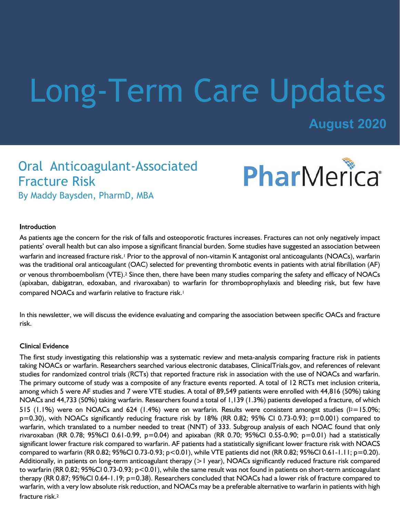# Long-Term Care Updates

**August 2020**

PharMerica®

## Oral Anticoagulant-Associated Fracture Risk

By Maddy Baysden, PharmD, MBA

#### **Introduction**

As patients age the concern for the risk of falls and osteoporotic fractures increases. Fractures can not only negatively impact patients' overall health but can also impose a significant financial burden. Some studies have suggested an association between warfarin and increased fracture risk.1 Prior to the approval of non-vitamin K antagonist oral anticoagulants (NOACs), warfarin was the traditional oral anticoagulant (OAC) selected for preventing thrombotic events in patients with atrial fibrillation (AF) or venous thromboembolism (VTE).2 Since then, there have been many studies comparing the safety and efficacy of NOACs (apixaban, dabigatran, edoxaban, and rivaroxaban) to warfarin for thromboprophylaxis and bleeding risk, but few have compared NOACs and warfarin relative to fracture risk.<sup>1</sup>

In this newsletter, we will discuss the evidence evaluating and comparing the association between specific OACs and fracture risk.

#### **Clinical Evidence**

The first study investigating this relationship was a systematic review and meta-analysis comparing fracture risk in patients taking NOACs or warfarin. Researchers searched various electronic databases, ClinicalTrials.gov, and references of relevant studies for randomized control trials (RCTs) that reported fracture risk in association with the use of NOACs and warfarin. The primary outcome of study was a composite of any fracture events reported. A total of 12 RCTs met inclusion criteria, among which 5 were AF studies and 7 were VTE studies. A total of 89,549 patients were enrolled with 44,816 (50%) taking NOACs and 44,733 (50%) taking warfarin. Researchers found a total of 1,139 (1.3%) patients developed a fracture, of which 515 (1.1%) were on NOACs and 624 (1.4%) were on warfarin. Results were consistent amongst studies ( $12=15.0\%$ ; p=0.30), with NOACs significantly reducing fracture risk by 18% (RR 0.82; 95% CI 0.73-0.93; p=0.001) compared to warfarin, which translated to a number needed to treat (NNT) of 333. Subgroup analysis of each NOAC found that only rivaroxaban (RR 0.78; 95%CI 0.61-0.99, p=0.04) and apixaban (RR 0.70; 95%CI 0.55-0.90; p=0.01) had a statistically significant lower fracture risk compared to warfarin. AF patients had a statistically significant lower fracture risk with NOACS compared to warfarin (RR 0.82; 95%CI 0.73-0.93; p<0.01), while VTE patients did not (RR 0.82; 95%CI 0.61-1.11; p=0.20). Additionally, in patients on long-term anticoagulant therapy (>1 year), NOACs significantly reduced fracture risk compared to warfarin (RR 0.82; 95%CI 0.73-0.93; p<0.01), while the same result was not found in patients on short-term anticoagulant therapy (RR 0.87; 95%CI 0.64-1.19; p=0.38). Researchers concluded that NOACs had a lower risk of fracture compared to warfarin, with a very low absolute risk reduction, and NOACs may be a preferable alternative to warfarin in patients with high fracture risk.<sup>2</sup>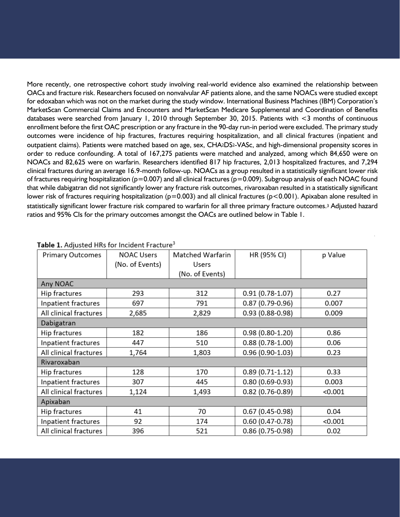More recently, one retrospective cohort study involving real-world evidence also examined the relationship between OACs and fracture risk. Researchers focused on nonvalvular AF patients alone, and the same NOACs were studied except for edoxaban which was not on the market during the study window. International Business Machines (IBM) Corporation's MarketScan Commercial Claims and Encounters and MarketScan Medicare Supplemental and Coordination of Benefits databases were searched from January 1, 2010 through September 30, 2015. Patients with <3 months of continuous enrollment before the first OAC prescription or any fracture in the 90-day run-in period were excluded. The primary study outcomes were incidence of hip fractures, fractures requiring hospitalization, and all clinical fractures (inpatient and outpatient claims). Patients were matched based on age, sex, CHA2DS2-VASc, and high-dimensional propensity scores in order to reduce confounding. A total of 167,275 patients were matched and analyzed, among which 84,650 were on NOACs and 82,625 were on warfarin. Researchers identified 817 hip fractures, 2,013 hospitalized fractures, and 7,294 clinical fractures during an average 16.9-month follow-up. NOACs as a group resulted in a statistically significant lower risk of fractures requiring hospitalization ( $p=0.007$ ) and all clinical fractures ( $p=0.009$ ). Subgroup analysis of each NOAC found that while dabigatran did not significantly lower any fracture risk outcomes, rivaroxaban resulted in a statistically significant lower risk of fractures requiring hospitalization ( $p=0.003$ ) and all clinical fractures ( $p<0.001$ ). Apixaban alone resulted in statistically significant lower fracture risk compared to warfarin for all three primary fracture outcomes.3 Adjusted hazard ratios and 95% CIs for the primary outcomes amongst the OACs are outlined below in Table 1.

| <b>Primary Outcomes</b> | <b>NOAC Users</b> | <b>Matched Warfarin</b> | HR (95% CI)         | p Value |
|-------------------------|-------------------|-------------------------|---------------------|---------|
|                         | (No. of Events)   | Users                   |                     |         |
|                         |                   | (No. of Events)         |                     |         |
| Any NOAC                |                   |                         |                     |         |
| Hip fractures           | 293               | 312                     | $0.91(0.78-1.07)$   | 0.27    |
| Inpatient fractures     | 697               | 791                     | $0.87(0.79-0.96)$   | 0.007   |
| All clinical fractures  | 2,685             | 2,829                   | 0.93 (0.88-0.98)    | 0.009   |
| Dabigatran              |                   |                         |                     |         |
| Hip fractures           | 182               | 186                     | $0.98(0.80-1.20)$   | 0.86    |
| Inpatient fractures     | 447               | 510                     | $0.88(0.78-1.00)$   | 0.06    |
| All clinical fractures  | 1,764             | 1,803                   | $0.96(0.90-1.03)$   | 0.23    |
| Rivaroxaban             |                   |                         |                     |         |
| Hip fractures           | 128               | 170                     | $0.89(0.71-1.12)$   | 0.33    |
| Inpatient fractures     | 307               | 445                     | $0.80(0.69 - 0.93)$ | 0.003   |
| All clinical fractures  | 1,124             | 1,493                   | $0.82(0.76 - 0.89)$ | < 0.001 |
| Apixaban                |                   |                         |                     |         |
| Hip fractures           | 41                | 70                      | $0.67(0.45-0.98)$   | 0.04    |
| Inpatient fractures     | 92                | 174                     | $0.60(0.47 - 0.78)$ | < 0.001 |
| All clinical fractures  | 396               | 521                     | $0.86(0.75-0.98)$   | 0.02    |

#### Table 1. Adiusted HRs for Incident Fracture<sup>3</sup>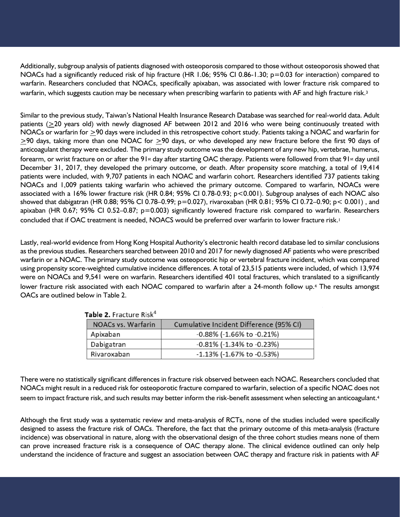Additionally, subgroup analysis of patients diagnosed with osteoporosis compared to those without osteoporosis showed that NOACs had a significantly reduced risk of hip fracture (HR 1.06; 95% CI 0.86-1.30; p=0.03 for interaction) compared to warfarin. Researchers concluded that NOACs, specifically apixaban, was associated with lower fracture risk compared to warfarin, which suggests caution may be necessary when prescribing warfarin to patients with AF and high fracture risk.<sup>3</sup>

Similar to the previous study, Taiwan's National Health Insurance Research Database was searched for real-world data. Adult patients (>20 years old) with newly diagnosed AF between 2012 and 2016 who were being continuously treated with NOACs or warfarin for >90 days were included in this retrospective cohort study. Patients taking a NOAC and warfarin for >90 days, taking more than one NOAC for >90 days, or who developed any new fracture before the first 90 days of anticoagulant therapy were excluded. The primary study outcome was the development of any new hip, vertebrae, humerus, forearm, or wrist fracture on or after the 91<sup>st</sup> day after starting OAC therapy. Patients were followed from that 91<sup>st</sup> day until December 31, 2017, they developed the primary outcome, or death. After propensity score matching, a total of 19,414 patients were included, with 9,707 patients in each NOAC and warfarin cohort. Researchers identified 737 patients taking NOACs and 1,009 patients taking warfarin who achieved the primary outcome. Compared to warfarin, NOACs were associated with a 16% lower fracture risk (HR 0.84; 95% CI 0.78-0.93; p<0.001). Subgroup analyses of each NOAC also showed that dabigatran (HR 0.88; 95% CI 0.78–0.99; p=0.027), rivaroxaban (HR 0.81; 95% CI 0.72–0.90; p< 0.001) , and apixaban (HR 0.67; 95% CI 0.52–0.87; p=0.003) significantly lowered fracture risk compared to warfarin. Researchers concluded that if OAC treatment is needed, NOACS would be preferred over warfarin to lower fracture risk.<sup>1</sup>

Lastly, real-world evidence from Hong Kong Hospital Authority's electronic health record database led to similar conclusions as the previous studies. Researchers searched between 2010 and 2017 for newly diagnosed AF patients who were prescribed warfarin or a NOAC. The primary study outcome was osteoporotic hip or vertebral fracture incident, which was compared using propensity score-weighted cumulative incidence differences. A total of 23,515 patients were included, of which 13,974 were on NOACs and 9,541 were on warfarin. Researchers identified 401 total fractures, which translated to a significantly lower fracture risk associated with each NOAC compared to warfarin after a 24-month follow up.<sup>4</sup> The results amongst OACs are outlined below in Table 2.

| NOACs vs. Warfarin | Cumulative Incident Difference (95% CI) |  |  |
|--------------------|-----------------------------------------|--|--|
| Apixaban           | -0.88% (-1.66% to -0.21%)               |  |  |
| Dabigatran         | -0.81% (-1.34% to -0.23%)               |  |  |
| Rivaroxaban        | $-1.13\%$ (-1.67% to $-0.53\%$ )        |  |  |

Table 2. Fracture Risk<sup>4</sup>

There were no statistically significant differences in fracture risk observed between each NOAC. Researchers concluded that NOACs might result in a reduced risk for osteoporotic fracture compared to warfarin, selection of a specific NOAC does not seem to impact fracture risk, and such results may better inform the risk-benefit assessment when selecting an anticoagulant.<sup>4</sup>

Although the first study was a systematic review and meta-analysis of RCTs, none of the studies included were specifically designed to assess the fracture risk of OACs. Therefore, the fact that the primary outcome of this meta-analysis (fracture incidence) was observational in nature, along with the observational design of the three cohort studies means none of them can prove increased fracture risk is a consequence of OAC therapy alone. The clinical evidence outlined can only help understand the incidence of fracture and suggest an association between OAC therapy and fracture risk in patients with AF